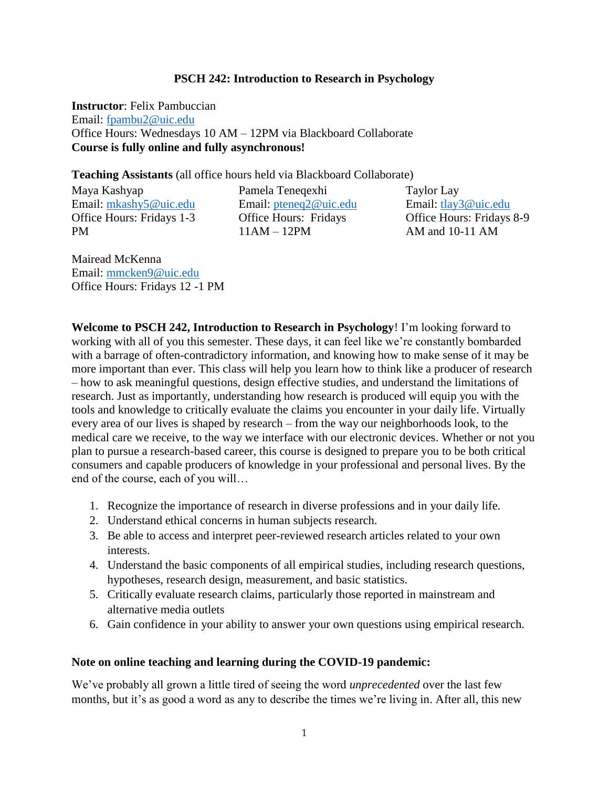### **PSCH 242: Introduction to Research in Psychology**

**Instructor**: Felix Pambuccian Email: [fpambu2@uic.edu](mailto:fpambu2@uic.edu) Office Hours: Wednesdays 10 AM – 12PM via Blackboard Collaborate **Course is fully online and fully asynchronous!**

### **Teaching Assistants** (all office hours held via Blackboard Collaborate)

Maya Kashyap Email: [mkashy5@uic.edu](mailto:mkashy5@uic.edu) Office Hours: Fridays 1-3 PM

Pamela Teneqexhi Email: [pteneq2@uic.edu](mailto:pteneq2@uic.edu) Office Hours: Fridays 11AM – 12PM

Taylor Lay Email: [tlay3@uic.edu](mailto:tlay3@uic.edu) Office Hours: Fridays 8-9 AM and 10-11 AM

Mairead McKenna Email: [mmcken9@uic.edu](mailto:mmcken9@uic.edu) Office Hours: Fridays 12 -1 PM

**Welcome to PSCH 242, Introduction to Research in Psychology**! I'm looking forward to working with all of you this semester. These days, it can feel like we're constantly bombarded with a barrage of often-contradictory information, and knowing how to make sense of it may be more important than ever. This class will help you learn how to think like a producer of research – how to ask meaningful questions, design effective studies, and understand the limitations of research. Just as importantly, understanding how research is produced will equip you with the tools and knowledge to critically evaluate the claims you encounter in your daily life. Virtually every area of our lives is shaped by research – from the way our neighborhoods look, to the medical care we receive, to the way we interface with our electronic devices. Whether or not you plan to pursue a research-based career, this course is designed to prepare you to be both critical consumers and capable producers of knowledge in your professional and personal lives. By the end of the course, each of you will…

- 1. Recognize the importance of research in diverse professions and in your daily life.
- 2. Understand ethical concerns in human subjects research.
- 3. Be able to access and interpret peer-reviewed research articles related to your own interests.
- 4. Understand the basic components of all empirical studies, including research questions, hypotheses, research design, measurement, and basic statistics.
- 5. Critically evaluate research claims, particularly those reported in mainstream and alternative media outlets
- 6. Gain confidence in your ability to answer your own questions using empirical research.

### **Note on online teaching and learning during the COVID-19 pandemic:**

We've probably all grown a little tired of seeing the word *unprecedented* over the last few months, but it's as good a word as any to describe the times we're living in. After all, this new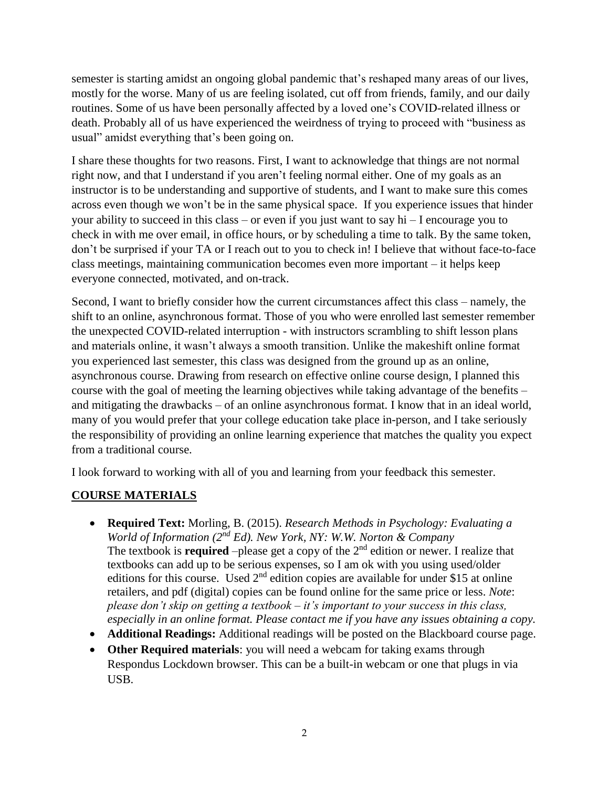semester is starting amidst an ongoing global pandemic that's reshaped many areas of our lives, mostly for the worse. Many of us are feeling isolated, cut off from friends, family, and our daily routines. Some of us have been personally affected by a loved one's COVID-related illness or death. Probably all of us have experienced the weirdness of trying to proceed with "business as usual" amidst everything that's been going on.

I share these thoughts for two reasons. First, I want to acknowledge that things are not normal right now, and that I understand if you aren't feeling normal either. One of my goals as an instructor is to be understanding and supportive of students, and I want to make sure this comes across even though we won't be in the same physical space. If you experience issues that hinder your ability to succeed in this class – or even if you just want to say hi – I encourage you to check in with me over email, in office hours, or by scheduling a time to talk. By the same token, don't be surprised if your TA or I reach out to you to check in! I believe that without face-to-face class meetings, maintaining communication becomes even more important – it helps keep everyone connected, motivated, and on-track.

Second, I want to briefly consider how the current circumstances affect this class – namely, the shift to an online, asynchronous format. Those of you who were enrolled last semester remember the unexpected COVID-related interruption - with instructors scrambling to shift lesson plans and materials online, it wasn't always a smooth transition. Unlike the makeshift online format you experienced last semester, this class was designed from the ground up as an online, asynchronous course. Drawing from research on effective online course design, I planned this course with the goal of meeting the learning objectives while taking advantage of the benefits – and mitigating the drawbacks – of an online asynchronous format. I know that in an ideal world, many of you would prefer that your college education take place in-person, and I take seriously the responsibility of providing an online learning experience that matches the quality you expect from a traditional course.

I look forward to working with all of you and learning from your feedback this semester.

# **COURSE MATERIALS**

- **Required Text:** Morling, B. (2015). *Research Methods in Psychology: Evaluating a World of Information (2nd Ed). New York, NY: W.W. Norton & Company* The textbook is **required** –please get a copy of the  $2<sup>nd</sup>$  edition or newer. I realize that textbooks can add up to be serious expenses, so I am ok with you using used/older editions for this course. Used  $2<sup>nd</sup>$  edition copies are available for under \$15 at online retailers, and pdf (digital) copies can be found online for the same price or less. *Note*: *please don't skip on getting a textbook – it's important to your success in this class, especially in an online format. Please contact me if you have any issues obtaining a copy.*
- **Additional Readings:** Additional readings will be posted on the Blackboard course page.
- **Other Required materials**: you will need a webcam for taking exams through Respondus Lockdown browser. This can be a built-in webcam or one that plugs in via USB.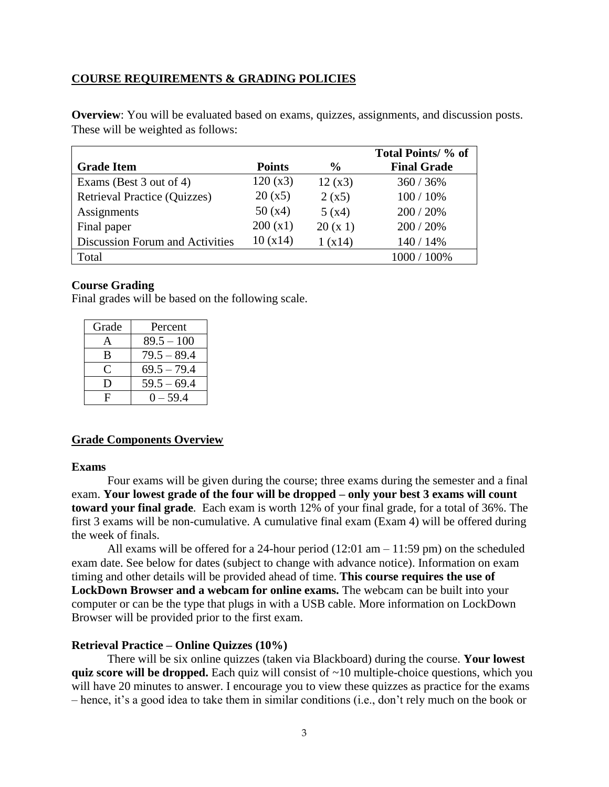## **COURSE REQUIREMENTS & GRADING POLICIES**

**Overview**: You will be evaluated based on exams, quizzes, assignments, and discussion posts. These will be weighted as follows:

| <b>Grade Item</b>                   | <b>Points</b> | $\frac{0}{0}$ | Total Points/ % of<br><b>Final Grade</b> |
|-------------------------------------|---------------|---------------|------------------------------------------|
| Exams (Best 3 out of 4)             | 120(x3)       | 12(x3)        | 360 / 36%                                |
| <b>Retrieval Practice (Quizzes)</b> | 20(x5)        | 2(x5)         | 100 / 10%                                |
| Assignments                         | 50(x4)        | 5(x4)         | 200 / 20%                                |
| Final paper                         | 200(x1)       | 20(x1)        | 200 / 20%                                |
| Discussion Forum and Activities     | 10(x14)       | 1(x14)        | 140 / 14%                                |
| Total                               |               |               | 1000 / 100%                              |

### **Course Grading**

Final grades will be based on the following scale.

| Grade | Percent       |
|-------|---------------|
| А     | $89.5 - 100$  |
| B     | $79.5 - 89.4$ |
| C     | $69.5 - 79.4$ |
| Ð     | $59.5 - 69.4$ |
| F     | $0 - 59.4$    |

### **Grade Components Overview**

#### **Exams**

Four exams will be given during the course; three exams during the semester and a final exam. **Your lowest grade of the four will be dropped – only your best 3 exams will count toward your final grade**. Each exam is worth 12% of your final grade, for a total of 36%. The first 3 exams will be non-cumulative. A cumulative final exam (Exam 4) will be offered during the week of finals.

All exams will be offered for a 24-hour period  $(12:01 \text{ am} - 11:59 \text{ pm})$  on the scheduled exam date. See below for dates (subject to change with advance notice). Information on exam timing and other details will be provided ahead of time. **This course requires the use of LockDown Browser and a webcam for online exams.** The webcam can be built into your computer or can be the type that plugs in with a USB cable. More information on LockDown Browser will be provided prior to the first exam.

### **Retrieval Practice – Online Quizzes (10%)**

There will be six online quizzes (taken via Blackboard) during the course. **Your lowest quiz score will be dropped.** Each quiz will consist of ~10 multiple-choice questions, which you will have 20 minutes to answer. I encourage you to view these quizzes as practice for the exams – hence, it's a good idea to take them in similar conditions (i.e., don't rely much on the book or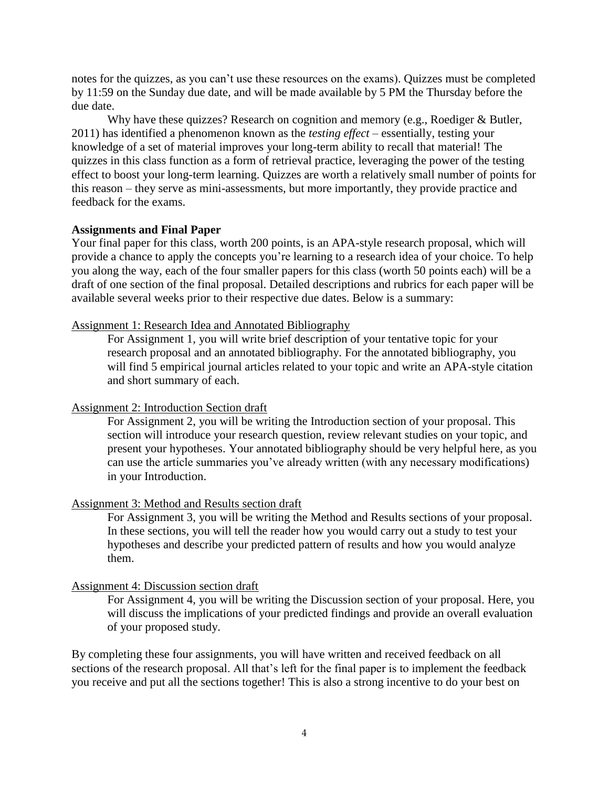notes for the quizzes, as you can't use these resources on the exams). Quizzes must be completed by 11:59 on the Sunday due date, and will be made available by 5 PM the Thursday before the due date.

Why have these quizzes? Research on cognition and memory (e.g., Roediger & Butler, 2011) has identified a phenomenon known as the *testing effect* – essentially, testing your knowledge of a set of material improves your long-term ability to recall that material! The quizzes in this class function as a form of retrieval practice, leveraging the power of the testing effect to boost your long-term learning. Quizzes are worth a relatively small number of points for this reason – they serve as mini-assessments, but more importantly, they provide practice and feedback for the exams.

#### **Assignments and Final Paper**

Your final paper for this class, worth 200 points, is an APA-style research proposal, which will provide a chance to apply the concepts you're learning to a research idea of your choice. To help you along the way, each of the four smaller papers for this class (worth 50 points each) will be a draft of one section of the final proposal. Detailed descriptions and rubrics for each paper will be available several weeks prior to their respective due dates. Below is a summary:

#### Assignment 1: Research Idea and Annotated Bibliography

For Assignment 1, you will write brief description of your tentative topic for your research proposal and an annotated bibliography. For the annotated bibliography, you will find 5 empirical journal articles related to your topic and write an APA-style citation and short summary of each.

#### Assignment 2: Introduction Section draft

For Assignment 2, you will be writing the Introduction section of your proposal. This section will introduce your research question, review relevant studies on your topic, and present your hypotheses. Your annotated bibliography should be very helpful here, as you can use the article summaries you've already written (with any necessary modifications) in your Introduction.

#### Assignment 3: Method and Results section draft

For Assignment 3, you will be writing the Method and Results sections of your proposal. In these sections, you will tell the reader how you would carry out a study to test your hypotheses and describe your predicted pattern of results and how you would analyze them.

#### Assignment 4: Discussion section draft

For Assignment 4, you will be writing the Discussion section of your proposal. Here, you will discuss the implications of your predicted findings and provide an overall evaluation of your proposed study.

By completing these four assignments, you will have written and received feedback on all sections of the research proposal. All that's left for the final paper is to implement the feedback you receive and put all the sections together! This is also a strong incentive to do your best on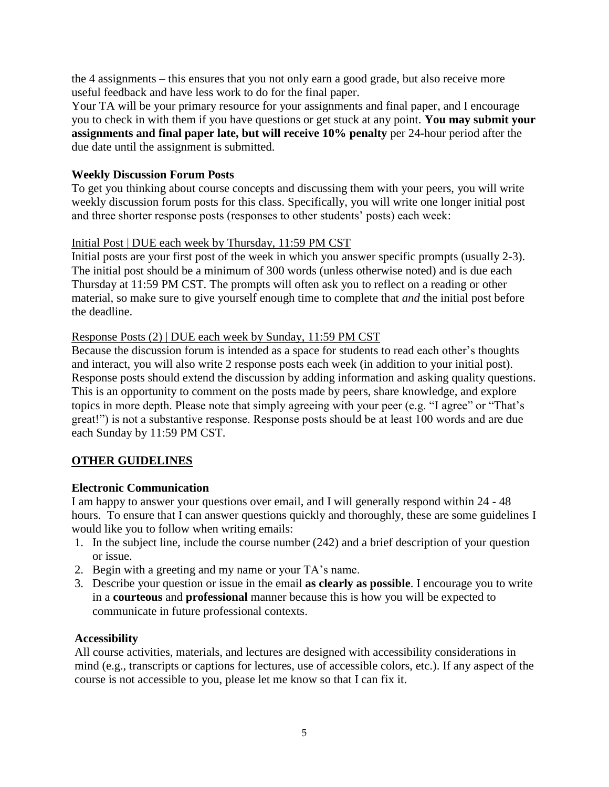the 4 assignments – this ensures that you not only earn a good grade, but also receive more useful feedback and have less work to do for the final paper.

Your TA will be your primary resource for your assignments and final paper, and I encourage you to check in with them if you have questions or get stuck at any point. **You may submit your assignments and final paper late, but will receive 10% penalty** per 24**-**hour period after the due date until the assignment is submitted.

## **Weekly Discussion Forum Posts**

To get you thinking about course concepts and discussing them with your peers, you will write weekly discussion forum posts for this class. Specifically, you will write one longer initial post and three shorter response posts (responses to other students' posts) each week:

# Initial Post | DUE each week by Thursday, 11:59 PM CST

Initial posts are your first post of the week in which you answer specific prompts (usually 2-3). The initial post should be a minimum of 300 words (unless otherwise noted) and is due each Thursday at 11:59 PM CST. The prompts will often ask you to reflect on a reading or other material, so make sure to give yourself enough time to complete that *and* the initial post before the deadline.

## Response Posts (2) | DUE each week by Sunday, 11:59 PM CST

Because the discussion forum is intended as a space for students to read each other's thoughts and interact, you will also write 2 response posts each week (in addition to your initial post). Response posts should extend the discussion by adding information and asking quality questions. This is an opportunity to comment on the posts made by peers, share knowledge, and explore topics in more depth. Please note that simply agreeing with your peer (e.g. "I agree" or "That's great!") is not a substantive response. Response posts should be at least 100 words and are due each Sunday by 11:59 PM CST.

# **OTHER GUIDELINES**

## **Electronic Communication**

I am happy to answer your questions over email, and I will generally respond within 24 - 48 hours. To ensure that I can answer questions quickly and thoroughly, these are some guidelines I would like you to follow when writing emails:

- 1. In the subject line, include the course number (242) and a brief description of your question or issue.
- 2. Begin with a greeting and my name or your TA's name.
- 3. Describe your question or issue in the email **as clearly as possible**. I encourage you to write in a **courteous** and **professional** manner because this is how you will be expected to communicate in future professional contexts.

## **Accessibility**

All course activities, materials, and lectures are designed with accessibility considerations in mind (e.g., transcripts or captions for lectures, use of accessible colors, etc.). If any aspect of the course is not accessible to you, please let me know so that I can fix it.